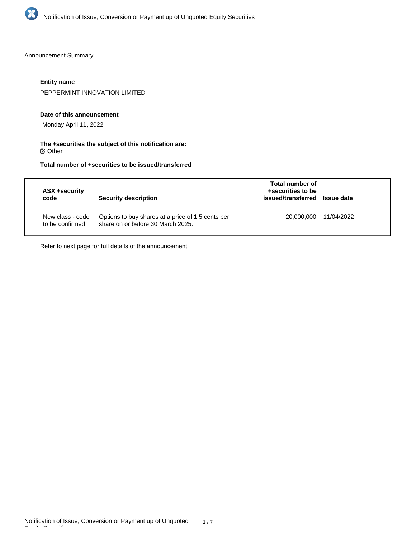

Announcement Summary

### **Entity name**

PEPPERMINT INNOVATION LIMITED

#### **Date of this announcement**

Monday April 11, 2022

#### **The +securities the subject of this notification are:**  $\mathfrak S$  Other

## **Total number of +securities to be issued/transferred**

| ASX +security<br>code               | Security description                                                                   | Total number of<br>+securities to be<br>issued/transferred Issue date |            |
|-------------------------------------|----------------------------------------------------------------------------------------|-----------------------------------------------------------------------|------------|
| New class - code<br>to be confirmed | Options to buy shares at a price of 1.5 cents per<br>share on or before 30 March 2025. | 20,000,000                                                            | 11/04/2022 |

Refer to next page for full details of the announcement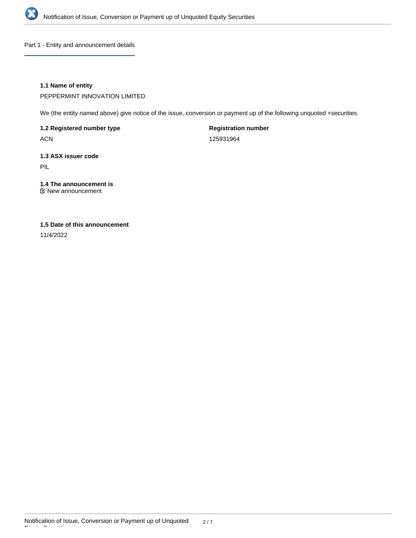

Part 1 - Entity and announcement details

### **1.1 Name of entity**

PEPPERMINT INNOVATION LIMITED

We (the entity named above) give notice of the issue, conversion or payment up of the following unquoted +securities.

### **1.2 Registered number type**

ACN

### **Registration number**

125931964

# **1.3 ASX issuer code**

PIL

# **1.4 The announcement is**

New announcement

### **1.5 Date of this announcement**

11/4/2022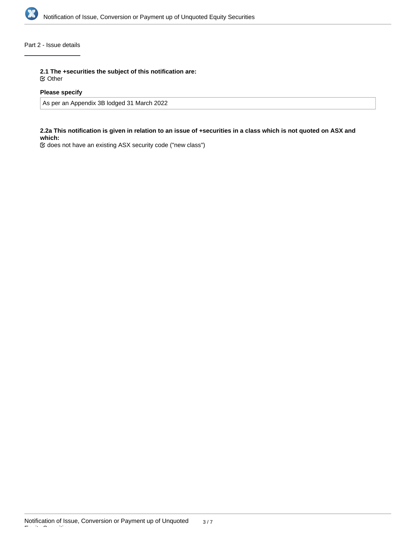

### Part 2 - Issue details

**2.1 The +securities the subject of this notification are:**

Other

### **Please specify**

As per an Appendix 3B lodged 31 March 2022

#### **2.2a This notification is given in relation to an issue of +securities in a class which is not quoted on ASX and which:**

does not have an existing ASX security code ("new class")

Equity Securities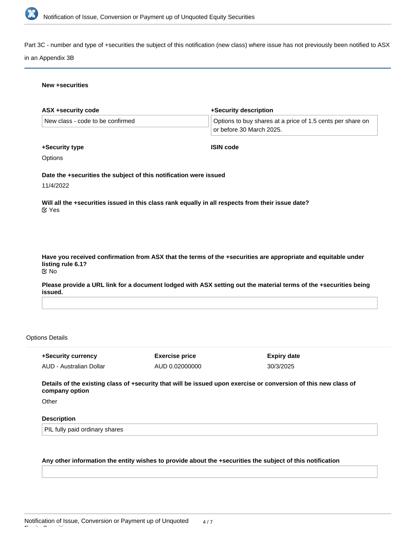

Part 3C - number and type of +securities the subject of this notification (new class) where issue has not previously been notified to ASX

#### in an Appendix 3B

#### **New +securities**

| ASX +security code               |                                                                   | +Security description                                                                                            |  |
|----------------------------------|-------------------------------------------------------------------|------------------------------------------------------------------------------------------------------------------|--|
| New class - code to be confirmed |                                                                   | Options to buy shares at a price of 1.5 cents per share on<br>or before 30 March 2025.                           |  |
| +Security type                   |                                                                   | <b>ISIN code</b>                                                                                                 |  |
| Options                          |                                                                   |                                                                                                                  |  |
|                                  | Date the +securities the subject of this notification were issued |                                                                                                                  |  |
| 11/4/2022                        |                                                                   |                                                                                                                  |  |
| <b>⊘</b> Yes                     |                                                                   | Will all the +securities issued in this class rank equally in all respects from their issue date?                |  |
| listing rule 6.1?<br>$\alpha$ No |                                                                   | Have you received confirmation from ASX that the terms of the +securities are appropriate and equitable under    |  |
|                                  |                                                                   |                                                                                                                  |  |
|                                  |                                                                   |                                                                                                                  |  |
| issued.                          |                                                                   |                                                                                                                  |  |
| <b>Options Details</b>           |                                                                   | Please provide a URL link for a document lodged with ASX setting out the material terms of the +securities being |  |

AUD - Australian Dollar

AUD 0.02000000

30/3/2025

**Details of the existing class of +security that will be issued upon exercise or conversion of this new class of company option**

**Other** 

### **Description**

PIL fully paid ordinary shares

#### **Any other information the entity wishes to provide about the +securities the subject of this notification**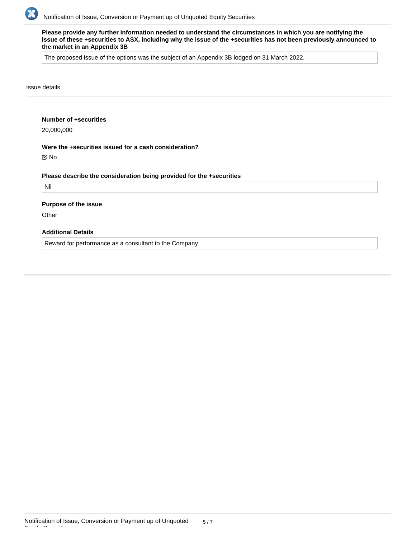

**Please provide any further information needed to understand the circumstances in which you are notifying the issue of these +securities to ASX, including why the issue of the +securities has not been previously announced to the market in an Appendix 3B**

The proposed issue of the options was the subject of an Appendix 3B lodged on 31 March 2022.

Issue details

#### **Number of +securities**

20,000,000

#### **Were the +securities issued for a cash consideration?**

No

#### **Please describe the consideration being provided for the +securities**

Nil

#### **Purpose of the issue**

**Other** 

### **Additional Details**

Reward for performance as a consultant to the Company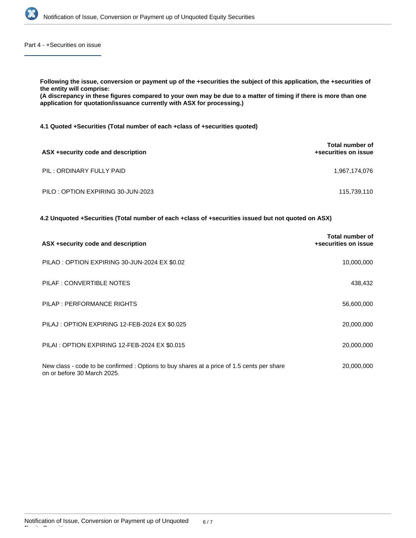

Part 4 - +Securities on issue

**Following the issue, conversion or payment up of the +securities the subject of this application, the +securities of the entity will comprise:**

**(A discrepancy in these figures compared to your own may be due to a matter of timing if there is more than one application for quotation/issuance currently with ASX for processing.)**

**4.1 Quoted +Securities (Total number of each +class of +securities quoted)**

| ASX +security code and description | Total number of<br>+securities on issue |
|------------------------------------|-----------------------------------------|
| PIL: ORDINARY FULLY PAID           | 1,967,174,076                           |
| PILO: OPTION EXPIRING 30-JUN-2023  | 115,739,110                             |

**4.2 Unquoted +Securities (Total number of each +class of +securities issued but not quoted on ASX)**

| ASX +security code and description                                                                                       | Total number of<br>+securities on issue |
|--------------------------------------------------------------------------------------------------------------------------|-----------------------------------------|
| PILAO : OPTION EXPIRING 30-JUN-2024 EX \$0.02                                                                            | 10,000,000                              |
| PILAF : CONVERTIBLE NOTES                                                                                                | 438,432                                 |
| PILAP : PERFORMANCE RIGHTS                                                                                               | 56,600,000                              |
| PILAJ : OPTION EXPIRING 12-FEB-2024 EX \$0.025                                                                           | 20,000,000                              |
| PILAI : OPTION EXPIRING 12-FEB-2024 EX \$0.015                                                                           | 20,000,000                              |
| New class - code to be confirmed: Options to buy shares at a price of 1.5 cents per share<br>on or before 30 March 2025. | 20,000,000                              |

Equity Securities